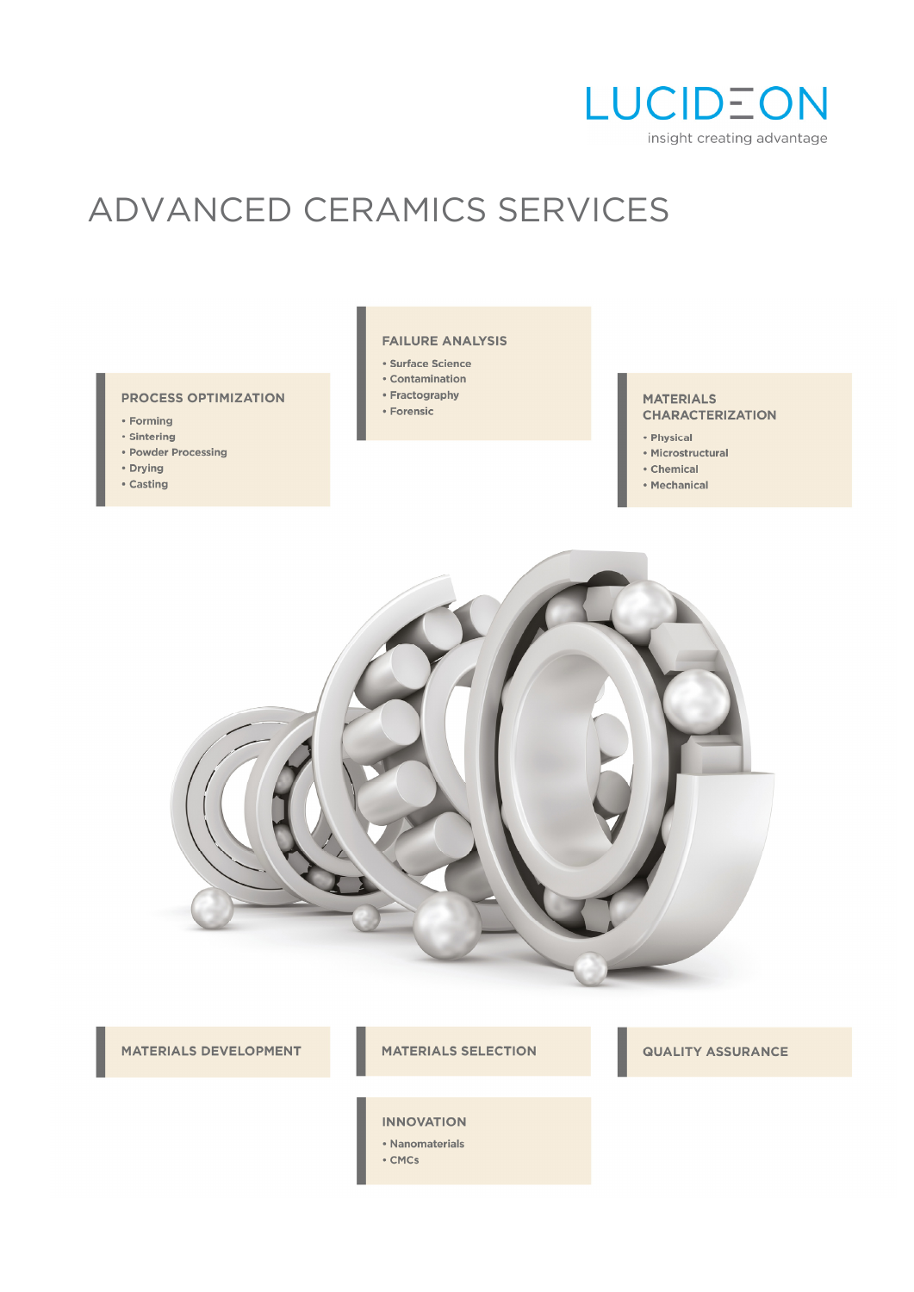

# ADVANCED CERAMICS SERVICES

#### **PROCESS OPTIMIZATION**

- Forming
- · Sintering
- Powder Processing
- Drying
- · Casting

#### **FAILURE ANALYSIS**

- · Surface Science
- Contamination
- Fractography
- Forensic
- 

#### **MATERIALS CHARACTERIZATION**

- Physical
- Microstructural
- Chemical
- Mechanical



MATERIALS DEVELOPMENT

#### **MATERIALS SELECTION**

#### **QUALITY ASSURANCE**

#### **INNOVATION**

- Nanomaterials
- $\cdot$  CMCs